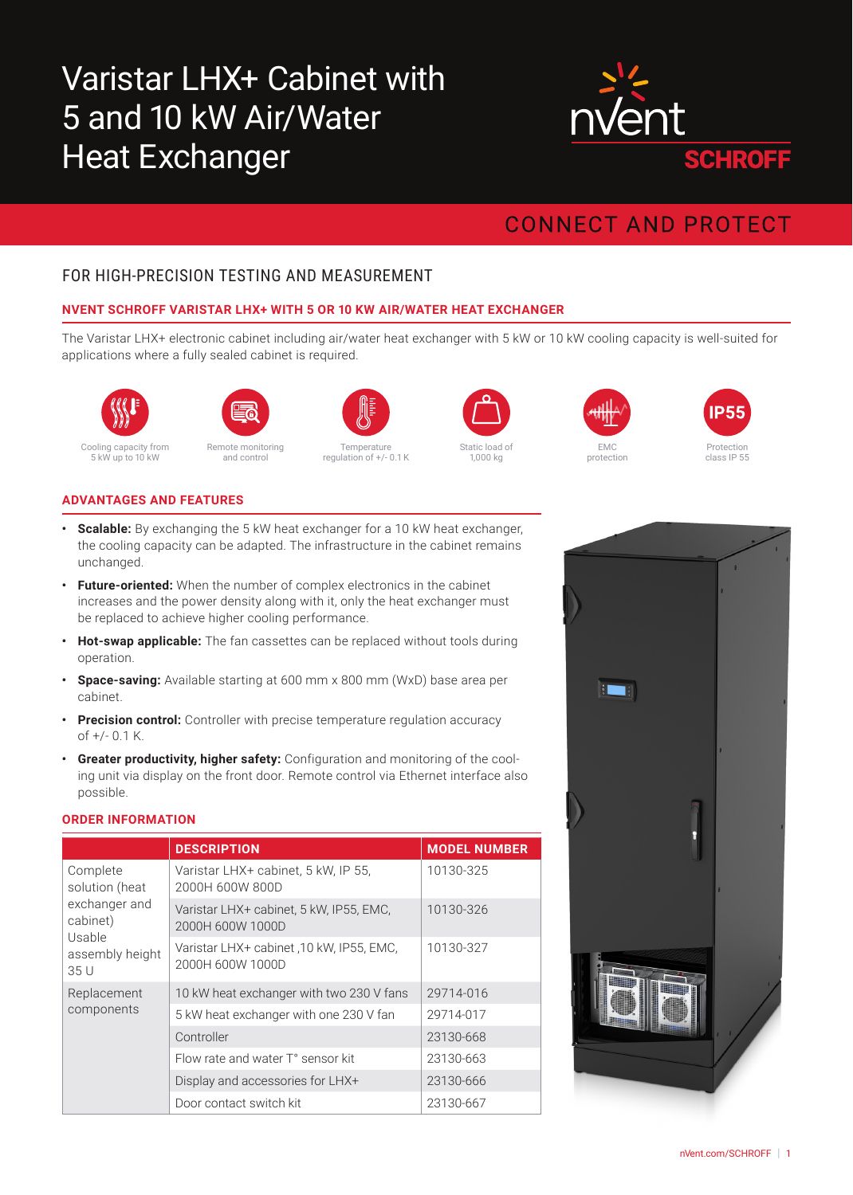# Varistar LHX+ Cabinet with 5 and 10 kW Air/Water Heat Exchanger



# **CONNECT AND PROTECT**

# FOR HIGH-PRECISION TESTING AND MEASUREMENT

## **NVENT SCHROFF VARISTAR LHX+ WITH 5 OR 10 KW AIR/WATER HEAT EXCHANGER**

The Varistar LHX+ electronic cabinet including air/water heat exchanger with 5 kW or 10 kW cooling capacity is well-suited for applications where a fully sealed cabinet is required.





and control



**Temperature** regulation of +/- 0.1 K



1,000 kg





## **ADVANTAGES AND FEATURES**

- **• Scalable:** By exchanging the 5 kW heat exchanger for a 10 kW heat exchanger, the cooling capacity can be adapted. The infrastructure in the cabinet remains unchanged.
- **• Future-oriented:** When the number of complex electronics in the cabinet increases and the power density along with it, only the heat exchanger must be replaced to achieve higher cooling performance.
- **• Hot-swap applicable:** The fan cassettes can be replaced without tools during operation.
- **• Space-saving:** Available starting at 600 mm x 800 mm (WxD) base area per cabinet.
- **• Precision control:** Controller with precise temperature regulation accuracy of +/- 0.1 K.
- **• Greater productivity, higher safety:** Configuration and monitoring of the cooling unit via display on the front door. Remote control via Ethernet interface also possible.

#### **ORDER INFORMATION**

|                                                                                              | <b>DESCRIPTION</b>                                          | <b>MODEL NUMBER</b> |
|----------------------------------------------------------------------------------------------|-------------------------------------------------------------|---------------------|
| Complete<br>solution (heat<br>exchanger and<br>cabinet)<br>Usable<br>assembly height<br>35 U | Varistar LHX+ cabinet, 5 kW, IP 55,<br>2000H 600W 800D      | 10130-325           |
|                                                                                              | Varistar LHX+ cabinet, 5 kW, IP55, EMC,<br>2000H 600W 1000D | 10130-326           |
|                                                                                              | Varistar LHX+ cabinet 10 kW, IP55, EMC,<br>2000H 600W 1000D | 10130-327           |
| Replacement<br>components                                                                    | 10 kW heat exchanger with two 230 V fans                    | 29714-016           |
|                                                                                              | 5 kW heat exchanger with one 230 V fan                      | 29714-017           |
|                                                                                              | Controller                                                  | 23130-668           |
|                                                                                              | Flow rate and water T° sensor kit                           | 23130-663           |
|                                                                                              | Display and accessories for LHX+                            | 23130-666           |
|                                                                                              | Door contact switch kit                                     | 23130-667           |